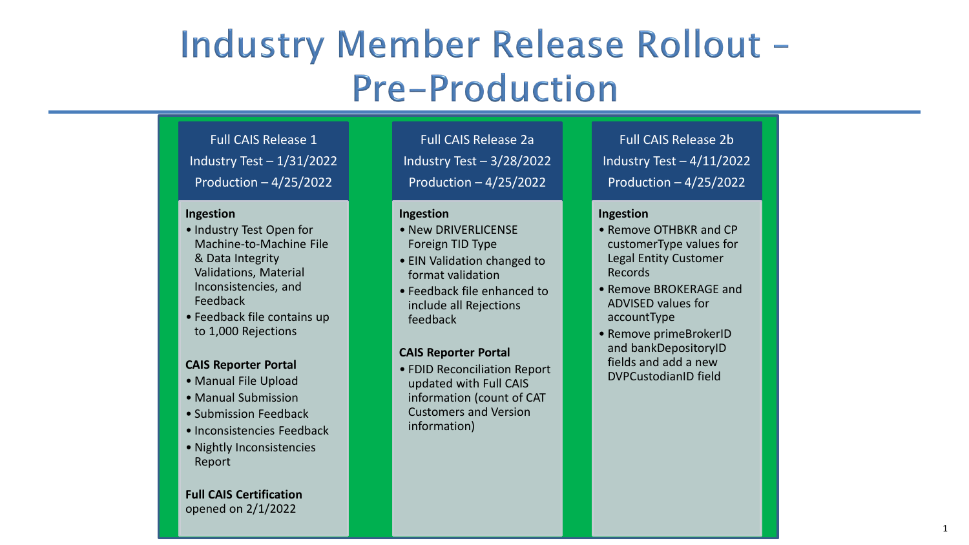# Industry Member Release Rollout -**Pre-Production**

Full CAIS Release 1 Industry Test – 1/31/2022 Production – 4/25/2022

### **Ingestion**

- Industry Test Open for Machine -to -Machine File & Data Integrity Validations, Material Inconsistencies, and Feedback
- Feedback file contains up to 1,000 Rejections

## **CAIS Reporter Portal**

- Manual File Upload
- Manual Submission
- Submission Feedback
- Inconsistencies Feedback
- Nightly Inconsistencies Report

## **Full CAIS Certification**  opened on 2/1/2022

Full CAIS Release 2a Industry Test – 3/28/2022 Production – 4/25/2022

### **Ingestion**

- New DRIVERLICENSE Foreign TID Type
- EIN Validation changed to format validation
- Feedback file enhanced to include all Rejections feedback

## **CAIS Reporter Portal**

• FDID Reconciliation Report updated with Full CAIS information (count of CAT Customers and Version information)

Full CAIS Release 2b Industry Test – 4/11/2022 Production – 4/25/2022

## **Ingestion**

- Remove OTHBKR and CP customerType values for Legal Entity Customer Records
- Remove BROKERAGE and ADVISED values for accountType
- Remove primeBrokerID and bankDepositoryID fields and add a new DVPCustodianID field